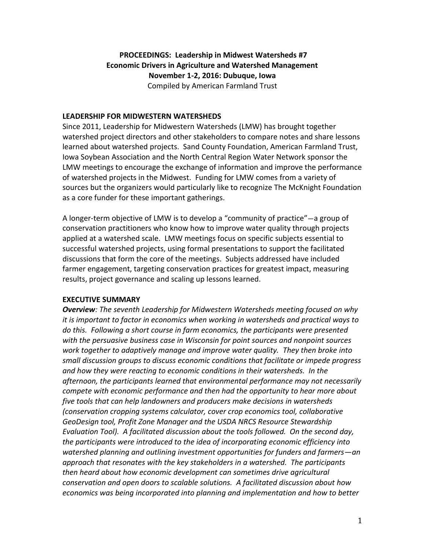# **PROCEEDINGS: Leadership in Midwest Watersheds #7 Economic Drivers in Agriculture and Watershed Management November 1-2, 2016: Dubuque, Iowa** Compiled by American Farmland Trust

#### **LEADERSHIP FOR MIDWESTERN WATERSHEDS**

Since 2011, Leadership for Midwestern Watersheds (LMW) has brought together watershed project directors and other stakeholders to compare notes and share lessons learned about watershed projects. Sand County Foundation, American Farmland Trust, Iowa Soybean Association and the North Central Region Water Network sponsor the LMW meetings to encourage the exchange of information and improve the performance of watershed projects in the Midwest. Funding for LMW comes from a variety of sources but the organizers would particularly like to recognize The McKnight Foundation as a core funder for these important gatherings.

A longer-term objective of LMW is to develop a "community of practice"—a group of conservation practitioners who know how to improve water quality through projects applied at a watershed scale. LMW meetings focus on specific subjects essential to successful watershed projects, using formal presentations to support the facilitated discussions that form the core of the meetings. Subjects addressed have included farmer engagement, targeting conservation practices for greatest impact, measuring results, project governance and scaling up lessons learned.

#### **EXECUTIVE SUMMARY**

*Overview: The seventh Leadership for Midwestern Watersheds meeting focused on why it is important to factor in economics when working in watersheds and practical ways to do this. Following a short course in farm economics, the participants were presented with the persuasive business case in Wisconsin for point sources and nonpoint sources work together to adaptively manage and improve water quality. They then broke into small discussion groups to discuss economic conditions that facilitate or impede progress and how they were reacting to economic conditions in their watersheds. In the afternoon, the participants learned that environmental performance may not necessarily compete with economic performance and then had the opportunity to hear more about five tools that can help landowners and producers make decisions in watersheds (conservation cropping systems calculator, cover crop economics tool, collaborative GeoDesign tool, Profit Zone Manager and the USDA NRCS Resource Stewardship Evaluation Tool). A facilitated discussion about the tools followed. On the second day, the participants were introduced to the idea of incorporating economic efficiency into watershed planning and outlining investment opportunities for funders and farmers—an approach that resonates with the key stakeholders in a watershed. The participants then heard about how economic development can sometimes drive agricultural conservation and open doors to scalable solutions. A facilitated discussion about how economics was being incorporated into planning and implementation and how to better*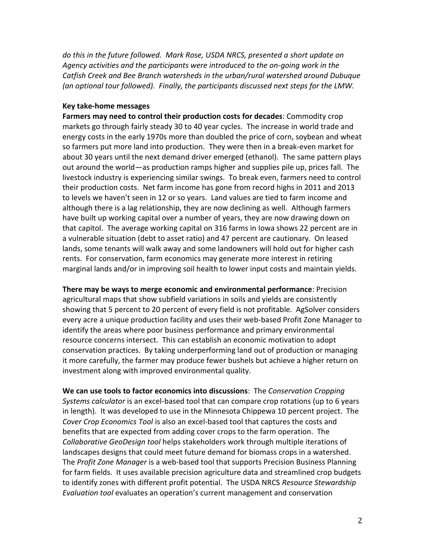*do this in the future followed. Mark Rose, USDA NRCS, presented a short update on Agency activities and the participants were introduced to the on-going work in the Catfish Creek and Bee Branch watersheds in the urban/rural watershed around Dubuque (an optional tour followed). Finally, the participants discussed next steps for the LMW.*

#### **Key take-home messages**

**Farmers may need to control their production costs for decades**: Commodity crop markets go through fairly steady 30 to 40 year cycles. The increase in world trade and energy costs in the early 1970s more than doubled the price of corn, soybean and wheat so farmers put more land into production. They were then in a break-even market for about 30 years until the next demand driver emerged (ethanol). The same pattern plays out around the world—as production ramps higher and supplies pile up, prices fall. The livestock industry is experiencing similar swings. To break even, farmers need to control their production costs. Net farm income has gone from record highs in 2011 and 2013 to levels we haven't seen in 12 or so years. Land values are tied to farm income and although there is a lag relationship, they are now declining as well. Although farmers have built up working capital over a number of years, they are now drawing down on that capitol. The average working capital on 316 farms in Iowa shows 22 percent are in a vulnerable situation (debt to asset ratio) and 47 percent are cautionary. On leased lands, some tenants will walk away and some landowners will hold out for higher cash rents. For conservation, farm economics may generate more interest in retiring marginal lands and/or in improving soil health to lower input costs and maintain yields.

**There may be ways to merge economic and environmental performance**: Precision agricultural maps that show subfield variations in soils and yields are consistently showing that 5 percent to 20 percent of every field is not profitable. AgSolver considers every acre a unique production facility and uses their web-based Profit Zone Manager to identify the areas where poor business performance and primary environmental resource concerns intersect. This can establish an economic motivation to adopt conservation practices. By taking underperforming land out of production or managing it more carefully, the farmer may produce fewer bushels but achieve a higher return on investment along with improved environmental quality.

**We can use tools to factor economics into discussions**: The *Conservation Cropping Systems calculator* is an excel-based tool that can compare crop rotations (up to 6 years in length). It was developed to use in the Minnesota Chippewa 10 percent project. The *Cover Crop Economics Tool* is also an excel-based tool that captures the costs and benefits that are expected from adding cover crops to the farm operation. The *Collaborative GeoDesign tool* helps stakeholders work through multiple iterations of landscapes designs that could meet future demand for biomass crops in a watershed. The *Profit Zone Manager* is a web-based tool that supports Precision Business Planning for farm fields. It uses available precision agriculture data and streamlined crop budgets to identify zones with different profit potential. The USDA NRCS *Resource Stewardship Evaluation tool* evaluates an operation's current management and conservation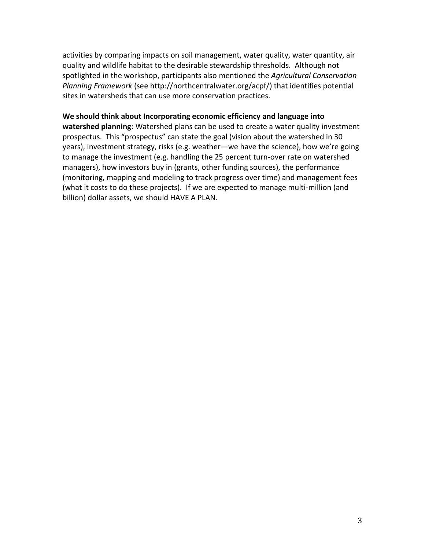activities by comparing impacts on soil management, water quality, water quantity, air quality and wildlife habitat to the desirable stewardship thresholds. Although not spotlighted in the workshop, participants also mentioned the *Agricultural Conservation Planning Framework* (see http://northcentralwater.org/acpf/) that identifies potential sites in watersheds that can use more conservation practices.

#### **We should think about Incorporating economic efficiency and language into**

**watershed planning**: Watershed plans can be used to create a water quality investment prospectus. This "prospectus" can state the goal (vision about the watershed in 30 years), investment strategy, risks (e.g. weather—we have the science), how we're going to manage the investment (e.g. handling the 25 percent turn-over rate on watershed managers), how investors buy in (grants, other funding sources), the performance (monitoring, mapping and modeling to track progress over time) and management fees (what it costs to do these projects). If we are expected to manage multi-million (and billion) dollar assets, we should HAVE A PLAN.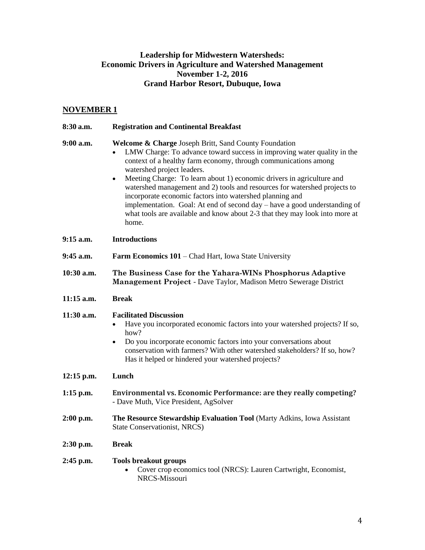# **Leadership for Midwestern Watersheds: Economic Drivers in Agriculture and Watershed Management November 1-2, 2016 Grand Harbor Resort, Dubuque, Iowa**

# **NOVEMBER 1**

| 8:30 a.m.    | <b>Registration and Continental Breakfast</b>                                                                                                                                                                                                                                                                                                                                                                                                                                                                                                                                                                                            |
|--------------|------------------------------------------------------------------------------------------------------------------------------------------------------------------------------------------------------------------------------------------------------------------------------------------------------------------------------------------------------------------------------------------------------------------------------------------------------------------------------------------------------------------------------------------------------------------------------------------------------------------------------------------|
| $9:00$ a.m.  | <b>Welcome &amp; Charge Joseph Britt, Sand County Foundation</b><br>LMW Charge: To advance toward success in improving water quality in the<br>context of a healthy farm economy, through communications among<br>watershed project leaders.<br>Meeting Charge: To learn about 1) economic drivers in agriculture and<br>٠<br>watershed management and 2) tools and resources for watershed projects to<br>incorporate economic factors into watershed planning and<br>implementation. Goal: At end of second day – have a good understanding of<br>what tools are available and know about 2-3 that they may look into more at<br>home. |
| $9:15$ a.m.  | <b>Introductions</b>                                                                                                                                                                                                                                                                                                                                                                                                                                                                                                                                                                                                                     |
| 9:45 a.m.    | <b>Farm Economics 101 – Chad Hart, Iowa State University</b>                                                                                                                                                                                                                                                                                                                                                                                                                                                                                                                                                                             |
| 10:30 a.m.   | The Business Case for the Yahara-WINs Phosphorus Adaptive<br>Management Project - Dave Taylor, Madison Metro Sewerage District                                                                                                                                                                                                                                                                                                                                                                                                                                                                                                           |
| $11:15$ a.m. | <b>Break</b>                                                                                                                                                                                                                                                                                                                                                                                                                                                                                                                                                                                                                             |
| 11:30 a.m.   | <b>Facilitated Discussion</b><br>Have you incorporated economic factors into your watershed projects? If so,<br>how?<br>Do you incorporate economic factors into your conversations about<br>٠<br>conservation with farmers? With other watershed stakeholders? If so, how?<br>Has it helped or hindered your watershed projects?                                                                                                                                                                                                                                                                                                        |
| $12:15$ p.m. | Lunch                                                                                                                                                                                                                                                                                                                                                                                                                                                                                                                                                                                                                                    |
| $1:15$ p.m.  | Environmental vs. Economic Performance: are they really competing?<br>- Dave Muth, Vice President, AgSolver                                                                                                                                                                                                                                                                                                                                                                                                                                                                                                                              |
| $2:00$ p.m.  | The Resource Stewardship Evaluation Tool (Marty Adkins, Iowa Assistant<br>State Conservationist, NRCS)                                                                                                                                                                                                                                                                                                                                                                                                                                                                                                                                   |
| $2:30$ p.m.  | <b>Break</b>                                                                                                                                                                                                                                                                                                                                                                                                                                                                                                                                                                                                                             |
| $2:45$ p.m.  | <b>Tools breakout groups</b><br>Cover crop economics tool (NRCS): Lauren Cartwright, Economist,<br>NRCS-Missouri                                                                                                                                                                                                                                                                                                                                                                                                                                                                                                                         |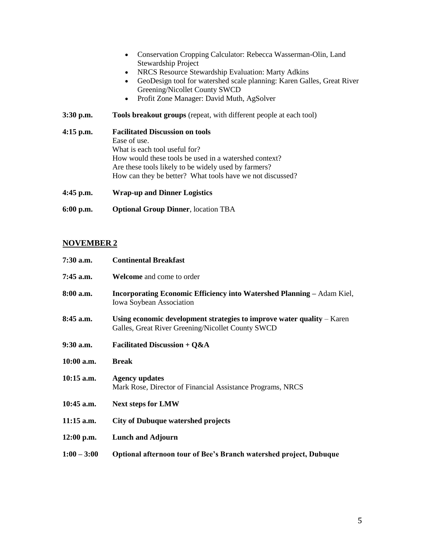- Conservation Cropping Calculator: Rebecca Wasserman-Olin, Land Stewardship Project
- NRCS Resource Stewardship Evaluation: Marty Adkins
- GeoDesign tool for watershed scale planning: Karen Galles, Great River Greening/Nicollet County SWCD
- Profit Zone Manager: David Muth, AgSolver
- **3:30 p.m. Tools breakout groups** (repeat, with different people at each tool)

| $4:15$ p.m. | <b>Facilitated Discussion on tools</b><br>Ease of use.<br>What is each tool useful for?<br>How would these tools be used in a watershed context? |
|-------------|--------------------------------------------------------------------------------------------------------------------------------------------------|
|             | Are these tools likely to be widely used by farmers?<br>How can they be better? What tools have we not discussed?                                |
| $4:45$ p.m. | <b>Wrap-up and Dinner Logistics</b>                                                                                                              |

**6:00 p.m. Optional Group Dinner**, location TBA

#### **NOVEMBER 2**

| $7:30$ a.m.   | <b>Continental Breakfast</b>                                                                                                  |
|---------------|-------------------------------------------------------------------------------------------------------------------------------|
| $7:45$ a.m.   | <b>Welcome</b> and come to order                                                                                              |
| $8:00$ a.m.   | <b>Incorporating Economic Efficiency into Watershed Planning – Adam Kiel,</b><br>Iowa Soybean Association                     |
| $8:45$ a.m.   | Using economic development strategies to improve water quality $-$ Karen<br>Galles, Great River Greening/Nicollet County SWCD |
| 9:30 a.m.     | Facilitated Discussion + $Q&A$                                                                                                |
| 10:00 a.m.    | <b>Break</b>                                                                                                                  |
| $10:15$ a.m.  | <b>Agency updates</b><br>Mark Rose, Director of Financial Assistance Programs, NRCS                                           |
| 10:45 a.m.    | <b>Next steps for LMW</b>                                                                                                     |
| $11:15$ a.m.  | <b>City of Dubuque watershed projects</b>                                                                                     |
| $12:00$ p.m.  | <b>Lunch and Adjourn</b>                                                                                                      |
| $1:00 - 3:00$ | Optional afternoon tour of Bee's Branch watershed project, Dubuque                                                            |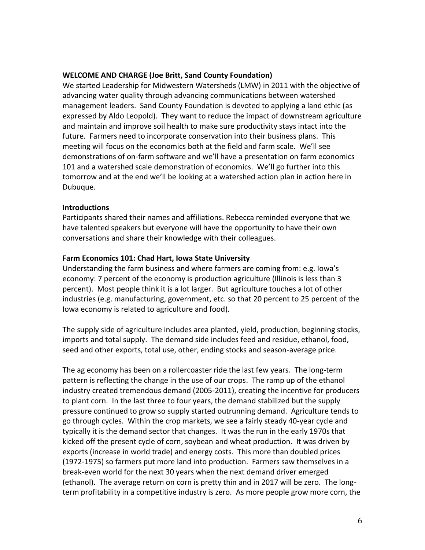#### **WELCOME AND CHARGE (Joe Britt, Sand County Foundation)**

We started Leadership for Midwestern Watersheds (LMW) in 2011 with the objective of advancing water quality through advancing communications between watershed management leaders. Sand County Foundation is devoted to applying a land ethic (as expressed by Aldo Leopold). They want to reduce the impact of downstream agriculture and maintain and improve soil health to make sure productivity stays intact into the future. Farmers need to incorporate conservation into their business plans. This meeting will focus on the economics both at the field and farm scale. We'll see demonstrations of on-farm software and we'll have a presentation on farm economics 101 and a watershed scale demonstration of economics. We'll go further into this tomorrow and at the end we'll be looking at a watershed action plan in action here in Dubuque.

#### **Introductions**

Participants shared their names and affiliations. Rebecca reminded everyone that we have talented speakers but everyone will have the opportunity to have their own conversations and share their knowledge with their colleagues.

#### **Farm Economics 101: Chad Hart, Iowa State University**

Understanding the farm business and where farmers are coming from: e.g. Iowa's economy: 7 percent of the economy is production agriculture (Illinois is less than 3 percent). Most people think it is a lot larger. But agriculture touches a lot of other industries (e.g. manufacturing, government, etc. so that 20 percent to 25 percent of the Iowa economy is related to agriculture and food).

The supply side of agriculture includes area planted, yield, production, beginning stocks, imports and total supply. The demand side includes feed and residue, ethanol, food, seed and other exports, total use, other, ending stocks and season-average price.

The ag economy has been on a rollercoaster ride the last few years. The long-term pattern is reflecting the change in the use of our crops. The ramp up of the ethanol industry created tremendous demand (2005-2011), creating the incentive for producers to plant corn. In the last three to four years, the demand stabilized but the supply pressure continued to grow so supply started outrunning demand. Agriculture tends to go through cycles. Within the crop markets, we see a fairly steady 40-year cycle and typically it is the demand sector that changes. It was the run in the early 1970s that kicked off the present cycle of corn, soybean and wheat production. It was driven by exports (increase in world trade) and energy costs. This more than doubled prices (1972-1975) so farmers put more land into production. Farmers saw themselves in a break-even world for the next 30 years when the next demand driver emerged (ethanol). The average return on corn is pretty thin and in 2017 will be zero. The longterm profitability in a competitive industry is zero. As more people grow more corn, the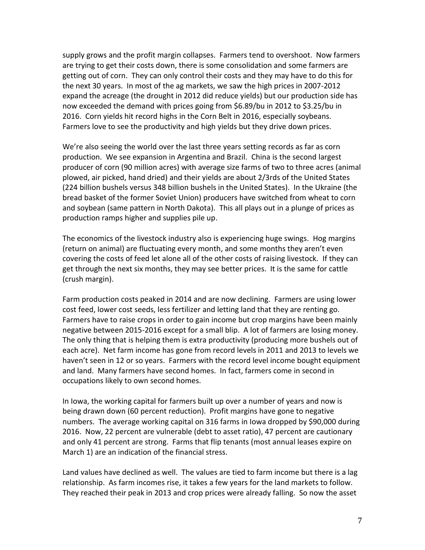supply grows and the profit margin collapses. Farmers tend to overshoot. Now farmers are trying to get their costs down, there is some consolidation and some farmers are getting out of corn. They can only control their costs and they may have to do this for the next 30 years. In most of the ag markets, we saw the high prices in 2007-2012 expand the acreage (the drought in 2012 did reduce yields) but our production side has now exceeded the demand with prices going from \$6.89/bu in 2012 to \$3.25/bu in 2016. Corn yields hit record highs in the Corn Belt in 2016, especially soybeans. Farmers love to see the productivity and high yields but they drive down prices.

We're also seeing the world over the last three years setting records as far as corn production. We see expansion in Argentina and Brazil. China is the second largest producer of corn (90 million acres) with average size farms of two to three acres (animal plowed, air picked, hand dried) and their yields are about 2/3rds of the United States (224 billion bushels versus 348 billion bushels in the United States). In the Ukraine (the bread basket of the former Soviet Union) producers have switched from wheat to corn and soybean (same pattern in North Dakota). This all plays out in a plunge of prices as production ramps higher and supplies pile up.

The economics of the livestock industry also is experiencing huge swings. Hog margins (return on animal) are fluctuating every month, and some months they aren't even covering the costs of feed let alone all of the other costs of raising livestock. If they can get through the next six months, they may see better prices. It is the same for cattle (crush margin).

Farm production costs peaked in 2014 and are now declining. Farmers are using lower cost feed, lower cost seeds, less fertilizer and letting land that they are renting go. Farmers have to raise crops in order to gain income but crop margins have been mainly negative between 2015-2016 except for a small blip. A lot of farmers are losing money. The only thing that is helping them is extra productivity (producing more bushels out of each acre). Net farm income has gone from record levels in 2011 and 2013 to levels we haven't seen in 12 or so years. Farmers with the record level income bought equipment and land. Many farmers have second homes. In fact, farmers come in second in occupations likely to own second homes.

In Iowa, the working capital for farmers built up over a number of years and now is being drawn down (60 percent reduction). Profit margins have gone to negative numbers. The average working capital on 316 farms in Iowa dropped by \$90,000 during 2016. Now, 22 percent are vulnerable (debt to asset ratio), 47 percent are cautionary and only 41 percent are strong. Farms that flip tenants (most annual leases expire on March 1) are an indication of the financial stress.

Land values have declined as well. The values are tied to farm income but there is a lag relationship. As farm incomes rise, it takes a few years for the land markets to follow. They reached their peak in 2013 and crop prices were already falling. So now the asset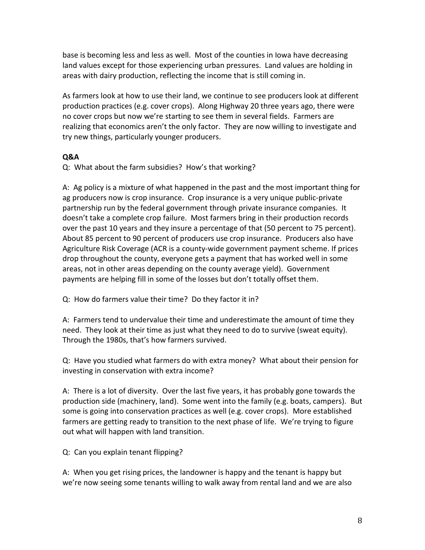base is becoming less and less as well. Most of the counties in Iowa have decreasing land values except for those experiencing urban pressures. Land values are holding in areas with dairy production, reflecting the income that is still coming in.

As farmers look at how to use their land, we continue to see producers look at different production practices (e.g. cover crops). Along Highway 20 three years ago, there were no cover crops but now we're starting to see them in several fields. Farmers are realizing that economics aren't the only factor. They are now willing to investigate and try new things, particularly younger producers.

# **Q&A**

Q: What about the farm subsidies? How's that working?

A: Ag policy is a mixture of what happened in the past and the most important thing for ag producers now is crop insurance. Crop insurance is a very unique public-private partnership run by the federal government through private insurance companies. It doesn't take a complete crop failure. Most farmers bring in their production records over the past 10 years and they insure a percentage of that (50 percent to 75 percent). About 85 percent to 90 percent of producers use crop insurance. Producers also have Agriculture Risk Coverage (ACR is a county-wide government payment scheme. If prices drop throughout the county, everyone gets a payment that has worked well in some areas, not in other areas depending on the county average yield). Government payments are helping fill in some of the losses but don't totally offset them.

Q: How do farmers value their time? Do they factor it in?

A: Farmers tend to undervalue their time and underestimate the amount of time they need. They look at their time as just what they need to do to survive (sweat equity). Through the 1980s, that's how farmers survived.

Q: Have you studied what farmers do with extra money? What about their pension for investing in conservation with extra income?

A: There is a lot of diversity. Over the last five years, it has probably gone towards the production side (machinery, land). Some went into the family (e.g. boats, campers). But some is going into conservation practices as well (e.g. cover crops). More established farmers are getting ready to transition to the next phase of life. We're trying to figure out what will happen with land transition.

Q: Can you explain tenant flipping?

A: When you get rising prices, the landowner is happy and the tenant is happy but we're now seeing some tenants willing to walk away from rental land and we are also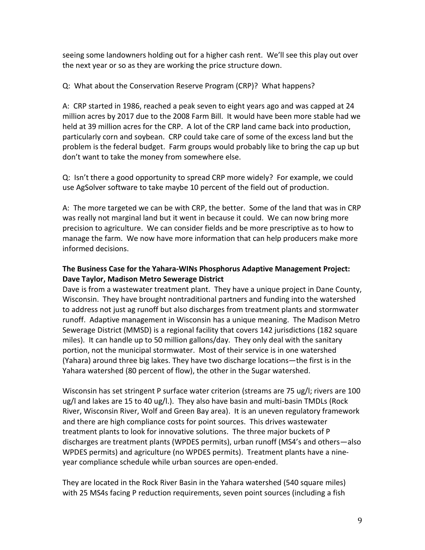seeing some landowners holding out for a higher cash rent. We'll see this play out over the next year or so as they are working the price structure down.

Q: What about the Conservation Reserve Program (CRP)? What happens?

A: CRP started in 1986, reached a peak seven to eight years ago and was capped at 24 million acres by 2017 due to the 2008 Farm Bill. It would have been more stable had we held at 39 million acres for the CRP. A lot of the CRP land came back into production, particularly corn and soybean. CRP could take care of some of the excess land but the problem is the federal budget. Farm groups would probably like to bring the cap up but don't want to take the money from somewhere else.

Q: Isn't there a good opportunity to spread CRP more widely? For example, we could use AgSolver software to take maybe 10 percent of the field out of production.

A: The more targeted we can be with CRP, the better. Some of the land that was in CRP was really not marginal land but it went in because it could. We can now bring more precision to agriculture. We can consider fields and be more prescriptive as to how to manage the farm. We now have more information that can help producers make more informed decisions.

# **The Business Case for the Yahara-WINs Phosphorus Adaptive Management Project: Dave Taylor, Madison Metro Sewerage District**

Dave is from a wastewater treatment plant. They have a unique project in Dane County, Wisconsin. They have brought nontraditional partners and funding into the watershed to address not just ag runoff but also discharges from treatment plants and stormwater runoff. Adaptive management in Wisconsin has a unique meaning. The Madison Metro Sewerage District (MMSD) is a regional facility that covers 142 jurisdictions (182 square miles). It can handle up to 50 million gallons/day. They only deal with the sanitary portion, not the municipal stormwater. Most of their service is in one watershed (Yahara) around three big lakes. They have two discharge locations—the first is in the Yahara watershed (80 percent of flow), the other in the Sugar watershed.

Wisconsin has set stringent P surface water criterion (streams are 75 ug/l; rivers are 100 ug/l and lakes are 15 to 40 ug/l.). They also have basin and multi-basin TMDLs (Rock River, Wisconsin River, Wolf and Green Bay area). It is an uneven regulatory framework and there are high compliance costs for point sources. This drives wastewater treatment plants to look for innovative solutions. The three major buckets of P discharges are treatment plants (WPDES permits), urban runoff (MS4's and others—also WPDES permits) and agriculture (no WPDES permits). Treatment plants have a nineyear compliance schedule while urban sources are open-ended.

They are located in the Rock River Basin in the Yahara watershed (540 square miles) with 25 MS4s facing P reduction requirements, seven point sources (including a fish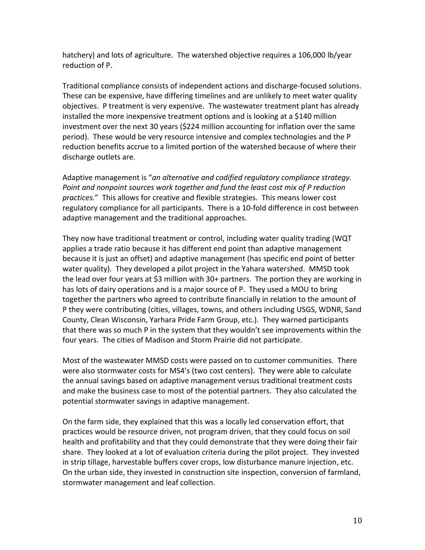hatchery) and lots of agriculture. The watershed objective requires a 106,000 lb/year reduction of P.

Traditional compliance consists of independent actions and discharge-focused solutions. These can be expensive, have differing timelines and are unlikely to meet water quality objectives. P treatment is very expensive. The wastewater treatment plant has already installed the more inexpensive treatment options and is looking at a \$140 million investment over the next 30 years (\$224 million accounting for inflation over the same period). These would be very resource intensive and complex technologies and the P reduction benefits accrue to a limited portion of the watershed because of where their discharge outlets are.

Adaptive management is "*an alternative and codified regulatory compliance strategy. Point and nonpoint sources work together and fund the least cost mix of P reduction practices.*" This allows for creative and flexible strategies. This means lower cost regulatory compliance for all participants. There is a 10-fold difference in cost between adaptive management and the traditional approaches.

They now have traditional treatment or control, including water quality trading (WQT applies a trade ratio because it has different end point than adaptive management because it is just an offset) and adaptive management (has specific end point of better water quality). They developed a pilot project in the Yahara watershed. MMSD took the lead over four years at \$3 million with 30+ partners. The portion they are working in has lots of dairy operations and is a major source of P. They used a MOU to bring together the partners who agreed to contribute financially in relation to the amount of P they were contributing (cities, villages, towns, and others including USGS, WDNR, Sand County, Clean Wisconsin, Yarhara Pride Farm Group, etc.). They warned participants that there was so much P in the system that they wouldn't see improvements within the four years. The cities of Madison and Storm Prairie did not participate.

Most of the wastewater MMSD costs were passed on to customer communities. There were also stormwater costs for MS4's (two cost centers). They were able to calculate the annual savings based on adaptive management versus traditional treatment costs and make the business case to most of the potential partners. They also calculated the potential stormwater savings in adaptive management.

On the farm side, they explained that this was a locally led conservation effort, that practices would be resource driven, not program driven, that they could focus on soil health and profitability and that they could demonstrate that they were doing their fair share. They looked at a lot of evaluation criteria during the pilot project. They invested in strip tillage, harvestable buffers cover crops, low disturbance manure injection, etc. On the urban side, they invested in construction site inspection, conversion of farmland, stormwater management and leaf collection.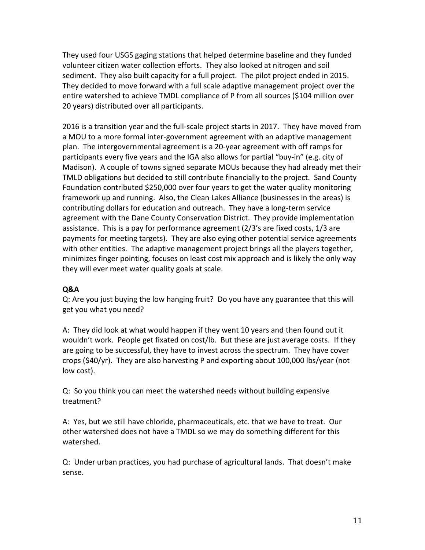They used four USGS gaging stations that helped determine baseline and they funded volunteer citizen water collection efforts. They also looked at nitrogen and soil sediment. They also built capacity for a full project. The pilot project ended in 2015. They decided to move forward with a full scale adaptive management project over the entire watershed to achieve TMDL compliance of P from all sources (\$104 million over 20 years) distributed over all participants.

2016 is a transition year and the full-scale project starts in 2017. They have moved from a MOU to a more formal inter-government agreement with an adaptive management plan. The intergovernmental agreement is a 20-year agreement with off ramps for participants every five years and the IGA also allows for partial "buy-in" (e.g. city of Madison). A couple of towns signed separate MOUs because they had already met their TMLD obligations but decided to still contribute financially to the project. Sand County Foundation contributed \$250,000 over four years to get the water quality monitoring framework up and running. Also, the Clean Lakes Alliance (businesses in the areas) is contributing dollars for education and outreach. They have a long-term service agreement with the Dane County Conservation District. They provide implementation assistance. This is a pay for performance agreement (2/3's are fixed costs, 1/3 are payments for meeting targets). They are also eying other potential service agreements with other entities. The adaptive management project brings all the players together, minimizes finger pointing, focuses on least cost mix approach and is likely the only way they will ever meet water quality goals at scale.

#### **Q&A**

Q: Are you just buying the low hanging fruit? Do you have any guarantee that this will get you what you need?

A: They did look at what would happen if they went 10 years and then found out it wouldn't work. People get fixated on cost/lb. But these are just average costs. If they are going to be successful, they have to invest across the spectrum. They have cover crops (\$40/yr). They are also harvesting P and exporting about 100,000 lbs/year (not low cost).

Q: So you think you can meet the watershed needs without building expensive treatment?

A: Yes, but we still have chloride, pharmaceuticals, etc. that we have to treat. Our other watershed does not have a TMDL so we may do something different for this watershed.

Q: Under urban practices, you had purchase of agricultural lands. That doesn't make sense.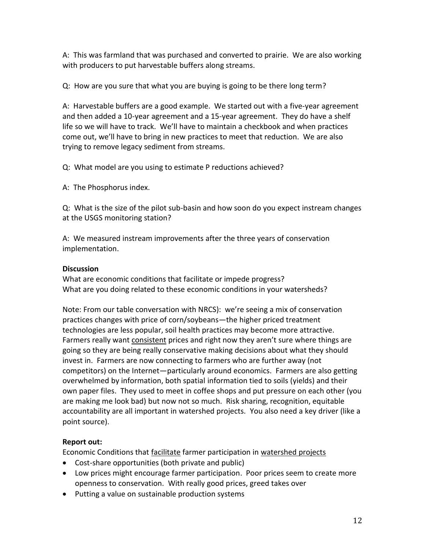A: This was farmland that was purchased and converted to prairie. We are also working with producers to put harvestable buffers along streams.

Q: How are you sure that what you are buying is going to be there long term?

A: Harvestable buffers are a good example. We started out with a five-year agreement and then added a 10-year agreement and a 15-year agreement. They do have a shelf life so we will have to track. We'll have to maintain a checkbook and when practices come out, we'll have to bring in new practices to meet that reduction. We are also trying to remove legacy sediment from streams.

Q: What model are you using to estimate P reductions achieved?

A: The Phosphorus index.

Q: What is the size of the pilot sub-basin and how soon do you expect instream changes at the USGS monitoring station?

A: We measured instream improvements after the three years of conservation implementation.

# **Discussion**

What are economic conditions that facilitate or impede progress? What are you doing related to these economic conditions in your watersheds?

Note: From our table conversation with NRCS): we're seeing a mix of conservation practices changes with price of corn/soybeans—the higher priced treatment technologies are less popular, soil health practices may become more attractive. Farmers really want consistent prices and right now they aren't sure where things are going so they are being really conservative making decisions about what they should invest in. Farmers are now connecting to farmers who are further away (not competitors) on the Internet—particularly around economics. Farmers are also getting overwhelmed by information, both spatial information tied to soils (yields) and their own paper files. They used to meet in coffee shops and put pressure on each other (you are making me look bad) but now not so much. Risk sharing, recognition, equitable accountability are all important in watershed projects. You also need a key driver (like a point source).

# **Report out:**

Economic Conditions that facilitate farmer participation in watershed projects

- Cost-share opportunities (both private and public)
- Low prices might encourage farmer participation. Poor prices seem to create more openness to conservation. With really good prices, greed takes over
- Putting a value on sustainable production systems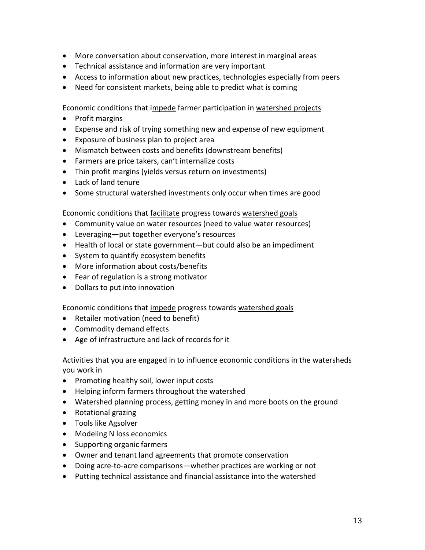- More conversation about conservation, more interest in marginal areas
- Technical assistance and information are very important
- Access to information about new practices, technologies especially from peers
- Need for consistent markets, being able to predict what is coming

Economic conditions that impede farmer participation in watershed projects

- Profit margins
- Expense and risk of trying something new and expense of new equipment
- Exposure of business plan to project area
- Mismatch between costs and benefits (downstream benefits)
- Farmers are price takers, can't internalize costs
- Thin profit margins (yields versus return on investments)
- Lack of land tenure
- Some structural watershed investments only occur when times are good

Economic conditions that facilitate progress towards watershed goals

- Community value on water resources (need to value water resources)
- Leveraging—put together everyone's resources
- Health of local or state government—but could also be an impediment
- System to quantify ecosystem benefits
- More information about costs/benefits
- Fear of regulation is a strong motivator
- Dollars to put into innovation

Economic conditions that impede progress towards watershed goals

- Retailer motivation (need to benefit)
- Commodity demand effects
- Age of infrastructure and lack of records for it

Activities that you are engaged in to influence economic conditions in the watersheds you work in

- Promoting healthy soil, lower input costs
- Helping inform farmers throughout the watershed
- Watershed planning process, getting money in and more boots on the ground
- Rotational grazing
- Tools like Agsolver
- Modeling N loss economics
- Supporting organic farmers
- Owner and tenant land agreements that promote conservation
- Doing acre-to-acre comparisons—whether practices are working or not
- Putting technical assistance and financial assistance into the watershed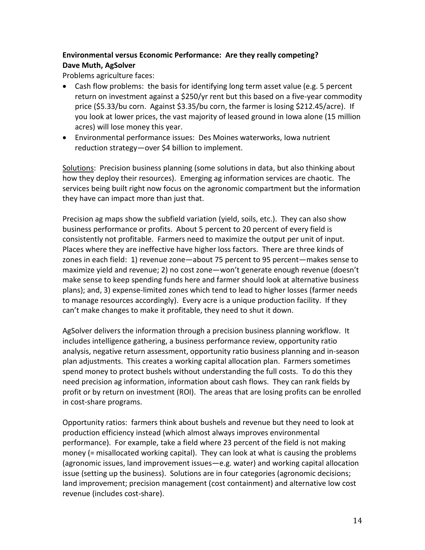# **Environmental versus Economic Performance: Are they really competing? Dave Muth, AgSolver**

Problems agriculture faces:

- Cash flow problems: the basis for identifying long term asset value (e.g. 5 percent return on investment against a \$250/yr rent but this based on a five-year commodity price (\$5.33/bu corn. Against \$3.35/bu corn, the farmer is losing \$212.45/acre). If you look at lower prices, the vast majority of leased ground in Iowa alone (15 million acres) will lose money this year.
- Environmental performance issues: Des Moines waterworks, Iowa nutrient reduction strategy—over \$4 billion to implement.

Solutions: Precision business planning (some solutions in data, but also thinking about how they deploy their resources). Emerging ag information services are chaotic. The services being built right now focus on the agronomic compartment but the information they have can impact more than just that.

Precision ag maps show the subfield variation (yield, soils, etc.). They can also show business performance or profits. About 5 percent to 20 percent of every field is consistently not profitable. Farmers need to maximize the output per unit of input. Places where they are ineffective have higher loss factors. There are three kinds of zones in each field: 1) revenue zone—about 75 percent to 95 percent—makes sense to maximize yield and revenue; 2) no cost zone—won't generate enough revenue (doesn't make sense to keep spending funds here and farmer should look at alternative business plans); and, 3) expense-limited zones which tend to lead to higher losses (farmer needs to manage resources accordingly). Every acre is a unique production facility. If they can't make changes to make it profitable, they need to shut it down.

AgSolver delivers the information through a precision business planning workflow. It includes intelligence gathering, a business performance review, opportunity ratio analysis, negative return assessment, opportunity ratio business planning and in-season plan adjustments. This creates a working capital allocation plan. Farmers sometimes spend money to protect bushels without understanding the full costs. To do this they need precision ag information, information about cash flows. They can rank fields by profit or by return on investment (ROI). The areas that are losing profits can be enrolled in cost-share programs.

Opportunity ratios: farmers think about bushels and revenue but they need to look at production efficiency instead (which almost always improves environmental performance). For example, take a field where 23 percent of the field is not making money (= misallocated working capital). They can look at what is causing the problems (agronomic issues, land improvement issues—e.g. water) and working capital allocation issue (setting up the business). Solutions are in four categories (agronomic decisions; land improvement; precision management (cost containment) and alternative low cost revenue (includes cost-share).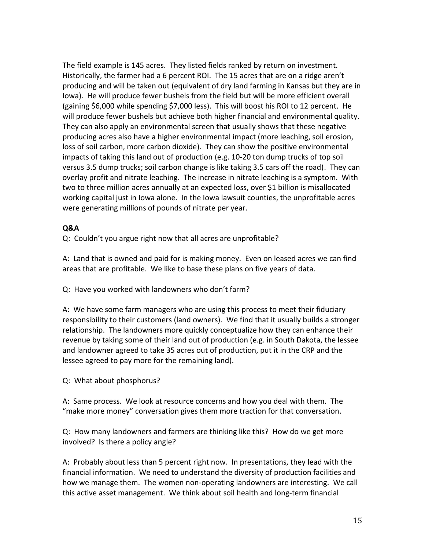The field example is 145 acres. They listed fields ranked by return on investment. Historically, the farmer had a 6 percent ROI. The 15 acres that are on a ridge aren't producing and will be taken out (equivalent of dry land farming in Kansas but they are in Iowa). He will produce fewer bushels from the field but will be more efficient overall (gaining \$6,000 while spending \$7,000 less). This will boost his ROI to 12 percent. He will produce fewer bushels but achieve both higher financial and environmental quality. They can also apply an environmental screen that usually shows that these negative producing acres also have a higher environmental impact (more leaching, soil erosion, loss of soil carbon, more carbon dioxide). They can show the positive environmental impacts of taking this land out of production (e.g. 10-20 ton dump trucks of top soil versus 3.5 dump trucks; soil carbon change is like taking 3.5 cars off the road). They can overlay profit and nitrate leaching. The increase in nitrate leaching is a symptom. With two to three million acres annually at an expected loss, over \$1 billion is misallocated working capital just in Iowa alone. In the Iowa lawsuit counties, the unprofitable acres were generating millions of pounds of nitrate per year.

## **Q&A**

Q: Couldn't you argue right now that all acres are unprofitable?

A: Land that is owned and paid for is making money. Even on leased acres we can find areas that are profitable. We like to base these plans on five years of data.

Q: Have you worked with landowners who don't farm?

A: We have some farm managers who are using this process to meet their fiduciary responsibility to their customers (land owners). We find that it usually builds a stronger relationship. The landowners more quickly conceptualize how they can enhance their revenue by taking some of their land out of production (e.g. in South Dakota, the lessee and landowner agreed to take 35 acres out of production, put it in the CRP and the lessee agreed to pay more for the remaining land).

Q: What about phosphorus?

A: Same process. We look at resource concerns and how you deal with them. The "make more money" conversation gives them more traction for that conversation.

Q: How many landowners and farmers are thinking like this? How do we get more involved? Is there a policy angle?

A: Probably about less than 5 percent right now. In presentations, they lead with the financial information. We need to understand the diversity of production facilities and how we manage them. The women non-operating landowners are interesting. We call this active asset management. We think about soil health and long-term financial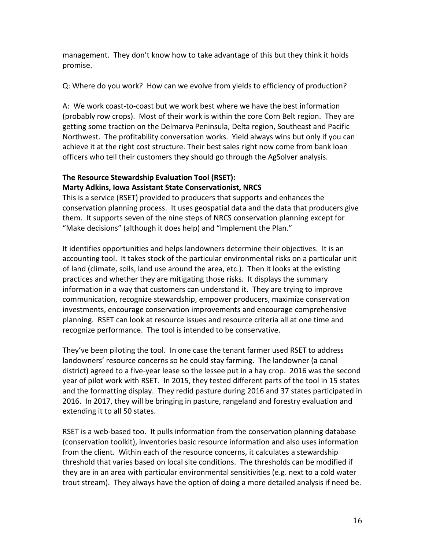management. They don't know how to take advantage of this but they think it holds promise.

Q: Where do you work? How can we evolve from yields to efficiency of production?

A: We work coast-to-coast but we work best where we have the best information (probably row crops). Most of their work is within the core Corn Belt region. They are getting some traction on the Delmarva Peninsula, Delta region, Southeast and Pacific Northwest. The profitability conversation works. Yield always wins but only if you can achieve it at the right cost structure. Their best sales right now come from bank loan officers who tell their customers they should go through the AgSolver analysis.

## **The Resource Stewardship Evaluation Tool (RSET): Marty Adkins, Iowa Assistant State Conservationist, NRCS**

This is a service (RSET) provided to producers that supports and enhances the conservation planning process. It uses geospatial data and the data that producers give them. It supports seven of the nine steps of NRCS conservation planning except for "Make decisions" (although it does help) and "Implement the Plan."

It identifies opportunities and helps landowners determine their objectives. It is an accounting tool. It takes stock of the particular environmental risks on a particular unit of land (climate, soils, land use around the area, etc.). Then it looks at the existing practices and whether they are mitigating those risks. It displays the summary information in a way that customers can understand it. They are trying to improve communication, recognize stewardship, empower producers, maximize conservation investments, encourage conservation improvements and encourage comprehensive planning. RSET can look at resource issues and resource criteria all at one time and recognize performance. The tool is intended to be conservative.

They've been piloting the tool. In one case the tenant farmer used RSET to address landowners' resource concerns so he could stay farming. The landowner (a canal district) agreed to a five-year lease so the lessee put in a hay crop. 2016 was the second year of pilot work with RSET. In 2015, they tested different parts of the tool in 15 states and the formatting display. They redid pasture during 2016 and 37 states participated in 2016. In 2017, they will be bringing in pasture, rangeland and forestry evaluation and extending it to all 50 states.

RSET is a web-based too. It pulls information from the conservation planning database (conservation toolkit), inventories basic resource information and also uses information from the client. Within each of the resource concerns, it calculates a stewardship threshold that varies based on local site conditions. The thresholds can be modified if they are in an area with particular environmental sensitivities (e.g. next to a cold water trout stream). They always have the option of doing a more detailed analysis if need be.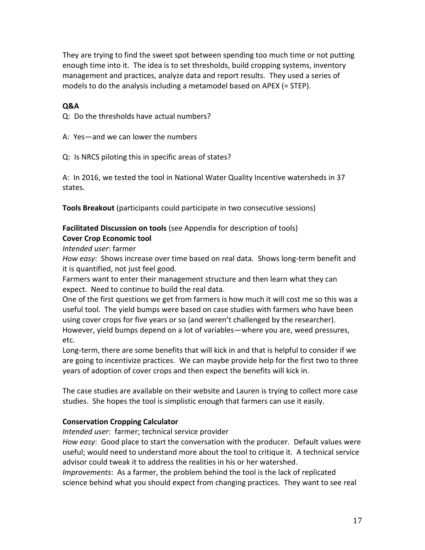They are trying to find the sweet spot between spending too much time or not putting enough time into it. The idea is to set thresholds, build cropping systems, inventory management and practices, analyze data and report results. They used a series of models to do the analysis including a metamodel based on APEX (= STEP).

### **Q&A**

Q: Do the thresholds have actual numbers?

A: Yes—and we can lower the numbers

Q: Is NRCS piloting this in specific areas of states?

A: In 2016, we tested the tool in National Water Quality Incentive watersheds in 37 states.

**Tools Breakout** (participants could participate in two consecutive sessions)

# **Facilitated Discussion on tools** (see Appendix for description of tools)

## **Cover Crop Economic tool**

*Intended user*: farmer

*How easy*: Shows increase over time based on real data. Shows long-term benefit and it is quantified, not just feel good.

Farmers want to enter their management structure and then learn what they can expect. Need to continue to build the real data.

One of the first questions we get from farmers is how much it will cost me so this was a useful tool. The yield bumps were based on case studies with farmers who have been using cover crops for five years or so (and weren't challenged by the researcher). However, yield bumps depend on a lot of variables—where you are, weed pressures, etc.

Long-term, there are some benefits that will kick in and that is helpful to consider if we are going to incentivize practices. We can maybe provide help for the first two to three years of adoption of cover crops and then expect the benefits will kick in.

The case studies are available on their website and Lauren is trying to collect more case studies. She hopes the tool is simplistic enough that farmers can use it easily.

## **Conservation Cropping Calculator**

*Intended user*: farmer; technical service provider

*How easy*: Good place to start the conversation with the producer. Default values were useful; would need to understand more about the tool to critique it. A technical service advisor could tweak it to address the realities in his or her watershed.

*Improvements*: As a farmer, the problem behind the tool is the lack of replicated science behind what you should expect from changing practices. They want to see real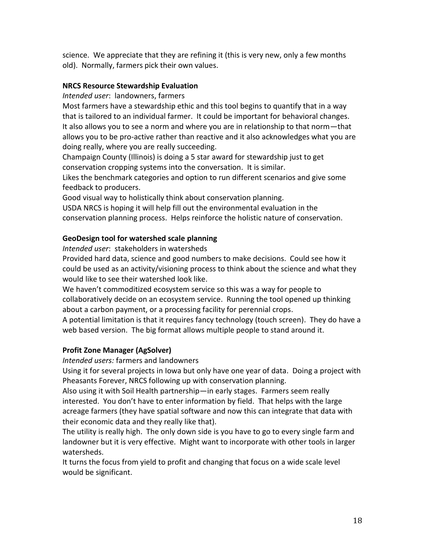science. We appreciate that they are refining it (this is very new, only a few months old). Normally, farmers pick their own values.

### **NRCS Resource Stewardship Evaluation**

*Intended user*: landowners, farmers

Most farmers have a stewardship ethic and this tool begins to quantify that in a way that is tailored to an individual farmer. It could be important for behavioral changes. It also allows you to see a norm and where you are in relationship to that norm—that allows you to be pro-active rather than reactive and it also acknowledges what you are doing really, where you are really succeeding.

Champaign County (Illinois) is doing a 5 star award for stewardship just to get conservation cropping systems into the conversation. It is similar.

Likes the benchmark categories and option to run different scenarios and give some feedback to producers.

Good visual way to holistically think about conservation planning.

USDA NRCS is hoping it will help fill out the environmental evaluation in the conservation planning process. Helps reinforce the holistic nature of conservation.

## **GeoDesign tool for watershed scale planning**

*Intended user*: stakeholders in watersheds

Provided hard data, science and good numbers to make decisions. Could see how it could be used as an activity/visioning process to think about the science and what they would like to see their watershed look like.

We haven't commoditized ecosystem service so this was a way for people to collaboratively decide on an ecosystem service. Running the tool opened up thinking about a carbon payment, or a processing facility for perennial crops.

A potential limitation is that it requires fancy technology (touch screen). They do have a web based version. The big format allows multiple people to stand around it.

## **Profit Zone Manager (AgSolver)**

*Intended users:* farmers and landowners

Using it for several projects in Iowa but only have one year of data. Doing a project with Pheasants Forever, NRCS following up with conservation planning.

Also using it with Soil Health partnership—in early stages. Farmers seem really interested. You don't have to enter information by field. That helps with the large acreage farmers (they have spatial software and now this can integrate that data with their economic data and they really like that).

The utility is really high. The only down side is you have to go to every single farm and landowner but it is very effective. Might want to incorporate with other tools in larger watersheds.

It turns the focus from yield to profit and changing that focus on a wide scale level would be significant.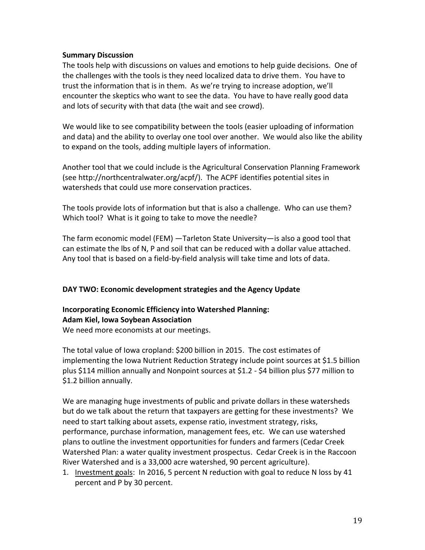#### **Summary Discussion**

The tools help with discussions on values and emotions to help guide decisions. One of the challenges with the tools is they need localized data to drive them. You have to trust the information that is in them. As we're trying to increase adoption, we'll encounter the skeptics who want to see the data. You have to have really good data and lots of security with that data (the wait and see crowd).

We would like to see compatibility between the tools (easier uploading of information and data) and the ability to overlay one tool over another. We would also like the ability to expand on the tools, adding multiple layers of information.

Another tool that we could include is the Agricultural Conservation Planning Framework (see http://northcentralwater.org/acpf/). The ACPF identifies potential sites in watersheds that could use more conservation practices.

The tools provide lots of information but that is also a challenge. Who can use them? Which tool? What is it going to take to move the needle?

The farm economic model (FEM) —Tarleton State University—is also a good tool that can estimate the lbs of N, P and soil that can be reduced with a dollar value attached. Any tool that is based on a field-by-field analysis will take time and lots of data.

#### **DAY TWO: Economic development strategies and the Agency Update**

## **Incorporating Economic Efficiency into Watershed Planning: Adam Kiel, Iowa Soybean Association**

We need more economists at our meetings.

The total value of Iowa cropland: \$200 billion in 2015. The cost estimates of implementing the Iowa Nutrient Reduction Strategy include point sources at \$1.5 billion plus \$114 million annually and Nonpoint sources at \$1.2 - \$4 billion plus \$77 million to \$1.2 billion annually.

We are managing huge investments of public and private dollars in these watersheds but do we talk about the return that taxpayers are getting for these investments? We need to start talking about assets, expense ratio, investment strategy, risks, performance, purchase information, management fees, etc. We can use watershed plans to outline the investment opportunities for funders and farmers (Cedar Creek Watershed Plan: a water quality investment prospectus. Cedar Creek is in the Raccoon River Watershed and is a 33,000 acre watershed, 90 percent agriculture).

1. Investment goals: In 2016, 5 percent N reduction with goal to reduce N loss by 41 percent and P by 30 percent.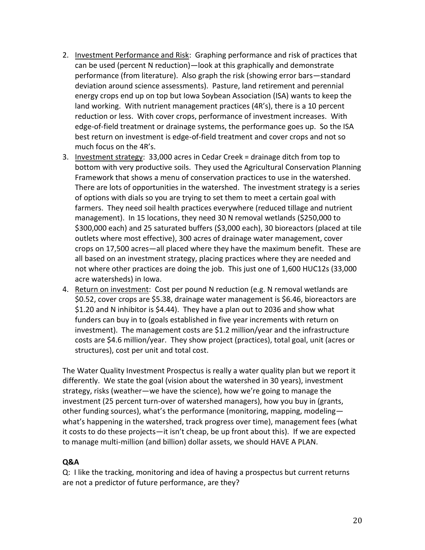- 2. Investment Performance and Risk: Graphing performance and risk of practices that can be used (percent N reduction)—look at this graphically and demonstrate performance (from literature). Also graph the risk (showing error bars—standard deviation around science assessments). Pasture, land retirement and perennial energy crops end up on top but Iowa Soybean Association (ISA) wants to keep the land working. With nutrient management practices (4R's), there is a 10 percent reduction or less. With cover crops, performance of investment increases. With edge-of-field treatment or drainage systems, the performance goes up. So the ISA best return on investment is edge-of-field treatment and cover crops and not so much focus on the 4R's.
- 3. Investment strategy: 33,000 acres in Cedar Creek = drainage ditch from top to bottom with very productive soils. They used the Agricultural Conservation Planning Framework that shows a menu of conservation practices to use in the watershed. There are lots of opportunities in the watershed. The investment strategy is a series of options with dials so you are trying to set them to meet a certain goal with farmers. They need soil health practices everywhere (reduced tillage and nutrient management). In 15 locations, they need 30 N removal wetlands (\$250,000 to \$300,000 each) and 25 saturated buffers (\$3,000 each), 30 bioreactors (placed at tile outlets where most effective), 300 acres of drainage water management, cover crops on 17,500 acres—all placed where they have the maximum benefit. These are all based on an investment strategy, placing practices where they are needed and not where other practices are doing the job. This just one of 1,600 HUC12s (33,000 acre watersheds) in Iowa.
- 4. Return on investment: Cost per pound N reduction (e.g. N removal wetlands are \$0.52, cover crops are \$5.38, drainage water management is \$6.46, bioreactors are \$1.20 and N inhibitor is \$4.44). They have a plan out to 2036 and show what funders can buy in to (goals established in five year increments with return on investment). The management costs are \$1.2 million/year and the infrastructure costs are \$4.6 million/year. They show project (practices), total goal, unit (acres or structures), cost per unit and total cost.

The Water Quality Investment Prospectus is really a water quality plan but we report it differently. We state the goal (vision about the watershed in 30 years), investment strategy, risks (weather—we have the science), how we're going to manage the investment (25 percent turn-over of watershed managers), how you buy in (grants, other funding sources), what's the performance (monitoring, mapping, modeling what's happening in the watershed, track progress over time), management fees (what it costs to do these projects—it isn't cheap, be up front about this). If we are expected to manage multi-million (and billion) dollar assets, we should HAVE A PLAN.

## **Q&A**

Q: I like the tracking, monitoring and idea of having a prospectus but current returns are not a predictor of future performance, are they?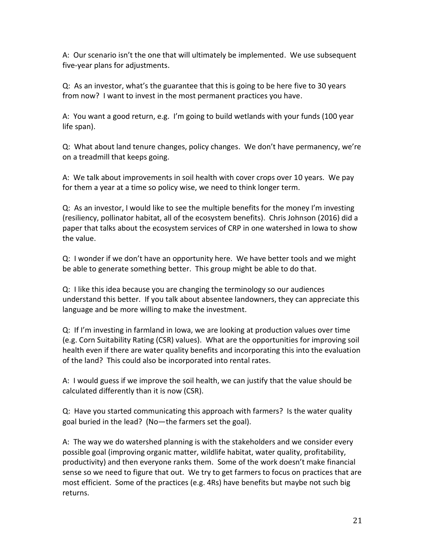A: Our scenario isn't the one that will ultimately be implemented. We use subsequent five-year plans for adjustments.

Q: As an investor, what's the guarantee that this is going to be here five to 30 years from now? I want to invest in the most permanent practices you have.

A: You want a good return, e.g. I'm going to build wetlands with your funds (100 year life span).

Q: What about land tenure changes, policy changes. We don't have permanency, we're on a treadmill that keeps going.

A: We talk about improvements in soil health with cover crops over 10 years. We pay for them a year at a time so policy wise, we need to think longer term.

Q: As an investor, I would like to see the multiple benefits for the money I'm investing (resiliency, pollinator habitat, all of the ecosystem benefits). Chris Johnson (2016) did a paper that talks about the ecosystem services of CRP in one watershed in Iowa to show the value.

Q: I wonder if we don't have an opportunity here. We have better tools and we might be able to generate something better. This group might be able to do that.

Q: I like this idea because you are changing the terminology so our audiences understand this better. If you talk about absentee landowners, they can appreciate this language and be more willing to make the investment.

Q: If I'm investing in farmland in Iowa, we are looking at production values over time (e.g. Corn Suitability Rating (CSR) values). What are the opportunities for improving soil health even if there are water quality benefits and incorporating this into the evaluation of the land? This could also be incorporated into rental rates.

A: I would guess if we improve the soil health, we can justify that the value should be calculated differently than it is now (CSR).

Q: Have you started communicating this approach with farmers? Is the water quality goal buried in the lead? (No—the farmers set the goal).

A: The way we do watershed planning is with the stakeholders and we consider every possible goal (improving organic matter, wildlife habitat, water quality, profitability, productivity) and then everyone ranks them. Some of the work doesn't make financial sense so we need to figure that out. We try to get farmers to focus on practices that are most efficient. Some of the practices (e.g. 4Rs) have benefits but maybe not such big returns.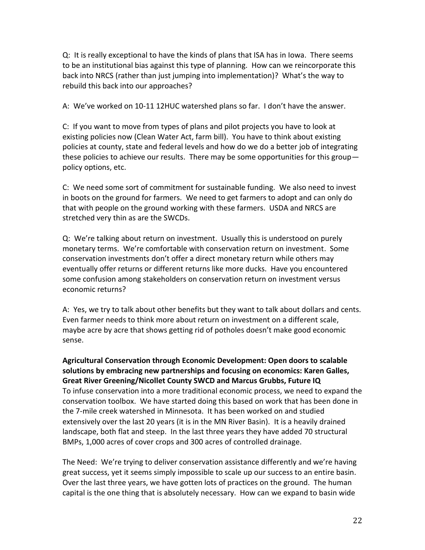Q: It is really exceptional to have the kinds of plans that ISA has in Iowa. There seems to be an institutional bias against this type of planning. How can we reincorporate this back into NRCS (rather than just jumping into implementation)? What's the way to rebuild this back into our approaches?

A: We've worked on 10-11 12HUC watershed plans so far. I don't have the answer.

C: If you want to move from types of plans and pilot projects you have to look at existing policies now (Clean Water Act, farm bill). You have to think about existing policies at county, state and federal levels and how do we do a better job of integrating these policies to achieve our results. There may be some opportunities for this group policy options, etc.

C: We need some sort of commitment for sustainable funding. We also need to invest in boots on the ground for farmers. We need to get farmers to adopt and can only do that with people on the ground working with these farmers. USDA and NRCS are stretched very thin as are the SWCDs.

Q: We're talking about return on investment. Usually this is understood on purely monetary terms. We're comfortable with conservation return on investment. Some conservation investments don't offer a direct monetary return while others may eventually offer returns or different returns like more ducks. Have you encountered some confusion among stakeholders on conservation return on investment versus economic returns?

A: Yes, we try to talk about other benefits but they want to talk about dollars and cents. Even farmer needs to think more about return on investment on a different scale, maybe acre by acre that shows getting rid of potholes doesn't make good economic sense.

**Agricultural Conservation through Economic Development: Open doors to scalable solutions by embracing new partnerships and focusing on economics: Karen Galles, Great River Greening/Nicollet County SWCD and Marcus Grubbs, Future IQ** To infuse conservation into a more traditional economic process, we need to expand the conservation toolbox. We have started doing this based on work that has been done in the 7-mile creek watershed in Minnesota. It has been worked on and studied extensively over the last 20 years (it is in the MN River Basin). It is a heavily drained landscape, both flat and steep. In the last three years they have added 70 structural BMPs, 1,000 acres of cover crops and 300 acres of controlled drainage.

The Need: We're trying to deliver conservation assistance differently and we're having great success, yet it seems simply impossible to scale up our success to an entire basin. Over the last three years, we have gotten lots of practices on the ground. The human capital is the one thing that is absolutely necessary. How can we expand to basin wide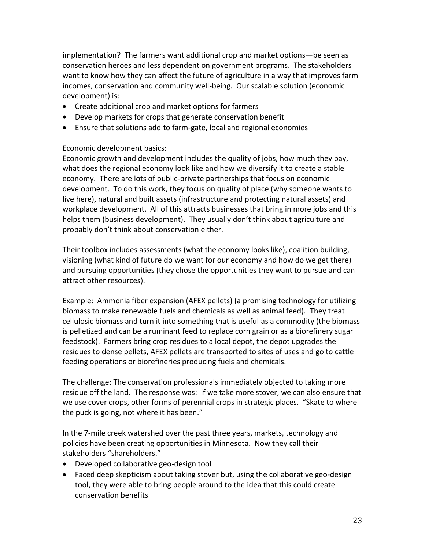implementation? The farmers want additional crop and market options—be seen as conservation heroes and less dependent on government programs. The stakeholders want to know how they can affect the future of agriculture in a way that improves farm incomes, conservation and community well-being. Our scalable solution (economic development) is:

- Create additional crop and market options for farmers
- Develop markets for crops that generate conservation benefit
- Ensure that solutions add to farm-gate, local and regional economies

## Economic development basics:

Economic growth and development includes the quality of jobs, how much they pay, what does the regional economy look like and how we diversify it to create a stable economy. There are lots of public-private partnerships that focus on economic development. To do this work, they focus on quality of place (why someone wants to live here), natural and built assets (infrastructure and protecting natural assets) and workplace development. All of this attracts businesses that bring in more jobs and this helps them (business development). They usually don't think about agriculture and probably don't think about conservation either.

Their toolbox includes assessments (what the economy looks like), coalition building, visioning (what kind of future do we want for our economy and how do we get there) and pursuing opportunities (they chose the opportunities they want to pursue and can attract other resources).

Example: Ammonia fiber expansion (AFEX pellets) (a promising technology for utilizing biomass to make renewable fuels and chemicals as well as animal feed). They treat cellulosic biomass and turn it into something that is useful as a commodity (the biomass is pelletized and can be a ruminant feed to replace corn grain or as a biorefinery sugar feedstock). Farmers bring crop residues to a local depot, the depot upgrades the residues to dense pellets, AFEX pellets are transported to sites of uses and go to cattle feeding operations or biorefineries producing fuels and chemicals.

The challenge: The conservation professionals immediately objected to taking more residue off the land. The response was: if we take more stover, we can also ensure that we use cover crops, other forms of perennial crops in strategic places. "Skate to where the puck is going, not where it has been."

In the 7-mile creek watershed over the past three years, markets, technology and policies have been creating opportunities in Minnesota. Now they call their stakeholders "shareholders."

- Developed collaborative geo-design tool
- Faced deep skepticism about taking stover but, using the collaborative geo-design tool, they were able to bring people around to the idea that this could create conservation benefits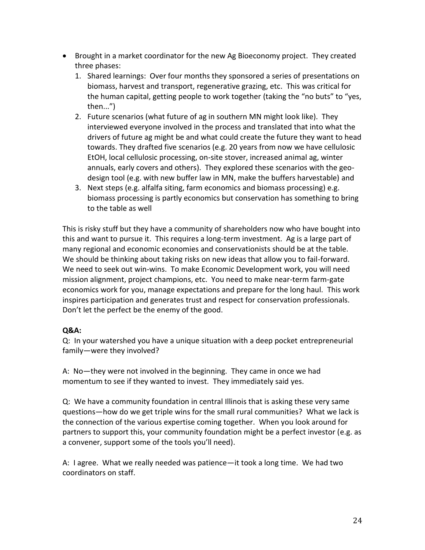- Brought in a market coordinator for the new Ag Bioeconomy project. They created three phases:
	- 1. Shared learnings: Over four months they sponsored a series of presentations on biomass, harvest and transport, regenerative grazing, etc. This was critical for the human capital, getting people to work together (taking the "no buts" to "yes, then...")
	- 2. Future scenarios (what future of ag in southern MN might look like). They interviewed everyone involved in the process and translated that into what the drivers of future ag might be and what could create the future they want to head towards. They drafted five scenarios (e.g. 20 years from now we have cellulosic EtOH, local cellulosic processing, on-site stover, increased animal ag, winter annuals, early covers and others). They explored these scenarios with the geodesign tool (e.g. with new buffer law in MN, make the buffers harvestable) and
	- 3. Next steps (e.g. alfalfa siting, farm economics and biomass processing) e.g. biomass processing is partly economics but conservation has something to bring to the table as well

This is risky stuff but they have a community of shareholders now who have bought into this and want to pursue it. This requires a long-term investment. Ag is a large part of many regional and economic economies and conservationists should be at the table. We should be thinking about taking risks on new ideas that allow you to fail-forward. We need to seek out win-wins. To make Economic Development work, you will need mission alignment, project champions, etc. You need to make near-term farm-gate economics work for you, manage expectations and prepare for the long haul. This work inspires participation and generates trust and respect for conservation professionals. Don't let the perfect be the enemy of the good.

## **Q&A:**

Q: In your watershed you have a unique situation with a deep pocket entrepreneurial family—were they involved?

A: No—they were not involved in the beginning. They came in once we had momentum to see if they wanted to invest. They immediately said yes.

Q: We have a community foundation in central Illinois that is asking these very same questions—how do we get triple wins for the small rural communities? What we lack is the connection of the various expertise coming together. When you look around for partners to support this, your community foundation might be a perfect investor (e.g. as a convener, support some of the tools you'll need).

A: I agree. What we really needed was patience—it took a long time. We had two coordinators on staff.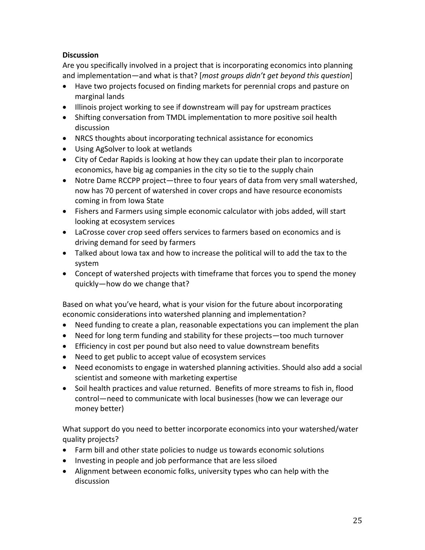# **Discussion**

Are you specifically involved in a project that is incorporating economics into planning and implementation—and what is that? [*most groups didn't get beyond this question*]

- Have two projects focused on finding markets for perennial crops and pasture on marginal lands
- Illinois project working to see if downstream will pay for upstream practices
- Shifting conversation from TMDL implementation to more positive soil health discussion
- NRCS thoughts about incorporating technical assistance for economics
- Using AgSolver to look at wetlands
- City of Cedar Rapids is looking at how they can update their plan to incorporate economics, have big ag companies in the city so tie to the supply chain
- Notre Dame RCCPP project—three to four years of data from very small watershed, now has 70 percent of watershed in cover crops and have resource economists coming in from Iowa State
- Fishers and Farmers using simple economic calculator with jobs added, will start looking at ecosystem services
- LaCrosse cover crop seed offers services to farmers based on economics and is driving demand for seed by farmers
- Talked about Iowa tax and how to increase the political will to add the tax to the system
- Concept of watershed projects with timeframe that forces you to spend the money quickly—how do we change that?

Based on what you've heard, what is your vision for the future about incorporating economic considerations into watershed planning and implementation?

- Need funding to create a plan, reasonable expectations you can implement the plan
- Need for long term funding and stability for these projects—too much turnover
- Efficiency in cost per pound but also need to value downstream benefits
- Need to get public to accept value of ecosystem services
- Need economists to engage in watershed planning activities. Should also add a social scientist and someone with marketing expertise
- Soil health practices and value returned. Benefits of more streams to fish in, flood control—need to communicate with local businesses (how we can leverage our money better)

What support do you need to better incorporate economics into your watershed/water quality projects?

- Farm bill and other state policies to nudge us towards economic solutions
- Investing in people and job performance that are less siloed
- Alignment between economic folks, university types who can help with the discussion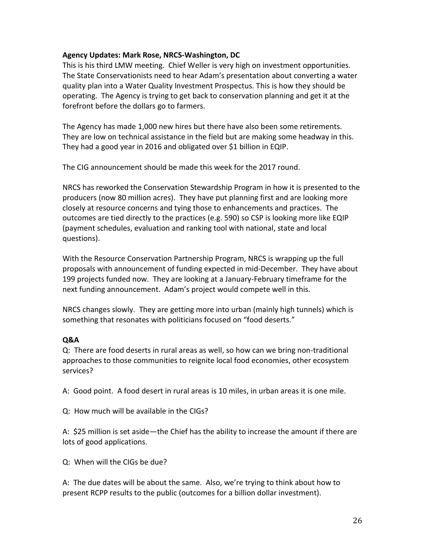### **Agency Updates: Mark Rose, NRCS-Washington, DC**

This is his third LMW meeting. Chief Weller is very high on investment opportunities. The State Conservationists need to hear Adam's presentation about converting a water quality plan into a Water Quality Investment Prospectus. This is how they should be operating. The Agency is trying to get back to conservation planning and get it at the forefront before the dollars go to farmers.

The Agency has made 1,000 new hires but there have also been some retirements. They are low on technical assistance in the field but are making some headway in this. They had a good year in 2016 and obligated over \$1 billion in EQIP.

The CIG announcement should be made this week for the 2017 round.

NRCS has reworked the Conservation Stewardship Program in how it is presented to the producers (now 80 million acres). They have put planning first and are looking more closely at resource concerns and tying those to enhancements and practices. The outcomes are tied directly to the practices (e.g. 590) so CSP is looking more like EQIP (payment schedules, evaluation and ranking tool with national, state and local questions).

With the Resource Conservation Partnership Program, NRCS is wrapping up the full proposals with announcement of funding expected in mid-December. They have about 199 projects funded now. They are looking at a January-February timeframe for the next funding announcement. Adam's project would compete well in this.

NRCS changes slowly. They are getting more into urban (mainly high tunnels) which is something that resonates with politicians focused on "food deserts."

## **Q&A**

Q: There are food deserts in rural areas as well, so how can we bring non-traditional approaches to those communities to reignite local food economies, other ecosystem services?

A: Good point. A food desert in rural areas is 10 miles, in urban areas it is one mile.

Q: How much will be available in the CIGs?

A: \$25 million is set aside—the Chief has the ability to increase the amount if there are lots of good applications.

Q: When will the CIGs be due?

A: The due dates will be about the same. Also, we're trying to think about how to present RCPP results to the public (outcomes for a billion dollar investment).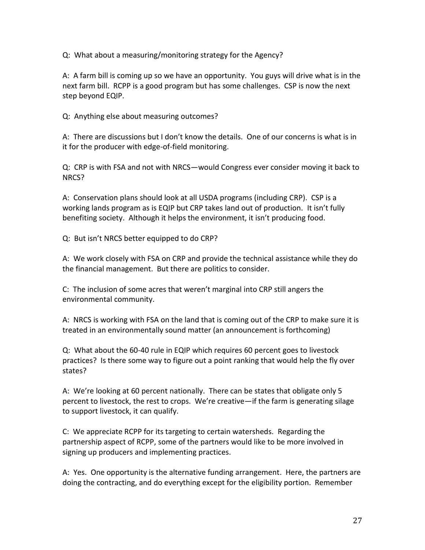Q: What about a measuring/monitoring strategy for the Agency?

A: A farm bill is coming up so we have an opportunity. You guys will drive what is in the next farm bill. RCPP is a good program but has some challenges. CSP is now the next step beyond EQIP.

Q: Anything else about measuring outcomes?

A: There are discussions but I don't know the details. One of our concerns is what is in it for the producer with edge-of-field monitoring.

Q: CRP is with FSA and not with NRCS—would Congress ever consider moving it back to NRCS?

A: Conservation plans should look at all USDA programs (including CRP). CSP is a working lands program as is EQIP but CRP takes land out of production. It isn't fully benefiting society. Although it helps the environment, it isn't producing food.

Q: But isn't NRCS better equipped to do CRP?

A: We work closely with FSA on CRP and provide the technical assistance while they do the financial management. But there are politics to consider.

C: The inclusion of some acres that weren't marginal into CRP still angers the environmental community.

A: NRCS is working with FSA on the land that is coming out of the CRP to make sure it is treated in an environmentally sound matter (an announcement is forthcoming)

Q: What about the 60-40 rule in EQIP which requires 60 percent goes to livestock practices? Is there some way to figure out a point ranking that would help the fly over states?

A: We're looking at 60 percent nationally. There can be states that obligate only 5 percent to livestock, the rest to crops. We're creative—if the farm is generating silage to support livestock, it can qualify.

C: We appreciate RCPP for its targeting to certain watersheds. Regarding the partnership aspect of RCPP, some of the partners would like to be more involved in signing up producers and implementing practices.

A: Yes. One opportunity is the alternative funding arrangement. Here, the partners are doing the contracting, and do everything except for the eligibility portion. Remember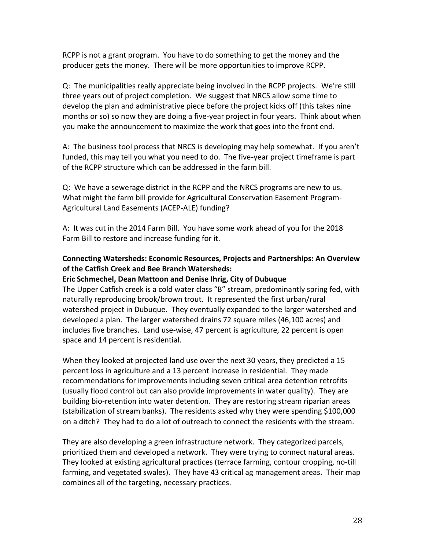RCPP is not a grant program. You have to do something to get the money and the producer gets the money. There will be more opportunities to improve RCPP.

Q: The municipalities really appreciate being involved in the RCPP projects. We're still three years out of project completion. We suggest that NRCS allow some time to develop the plan and administrative piece before the project kicks off (this takes nine months or so) so now they are doing a five-year project in four years. Think about when you make the announcement to maximize the work that goes into the front end.

A: The business tool process that NRCS is developing may help somewhat. If you aren't funded, this may tell you what you need to do. The five-year project timeframe is part of the RCPP structure which can be addressed in the farm bill.

Q: We have a sewerage district in the RCPP and the NRCS programs are new to us. What might the farm bill provide for Agricultural Conservation Easement Program-Agricultural Land Easements (ACEP-ALE) funding?

A: It was cut in the 2014 Farm Bill. You have some work ahead of you for the 2018 Farm Bill to restore and increase funding for it.

# **Connecting Watersheds: Economic Resources, Projects and Partnerships: An Overview of the Catfish Creek and Bee Branch Watersheds:**

## **Eric Schmechel, Dean Mattoon and Denise Ihrig, City of Dubuque**

The Upper Catfish creek is a cold water class "B" stream, predominantly spring fed, with naturally reproducing brook/brown trout. It represented the first urban/rural watershed project in Dubuque. They eventually expanded to the larger watershed and developed a plan. The larger watershed drains 72 square miles (46,100 acres) and includes five branches. Land use-wise, 47 percent is agriculture, 22 percent is open space and 14 percent is residential.

When they looked at projected land use over the next 30 years, they predicted a 15 percent loss in agriculture and a 13 percent increase in residential. They made recommendations for improvements including seven critical area detention retrofits (usually flood control but can also provide improvements in water quality). They are building bio-retention into water detention. They are restoring stream riparian areas (stabilization of stream banks). The residents asked why they were spending \$100,000 on a ditch? They had to do a lot of outreach to connect the residents with the stream.

They are also developing a green infrastructure network. They categorized parcels, prioritized them and developed a network. They were trying to connect natural areas. They looked at existing agricultural practices (terrace farming, contour cropping, no-till farming, and vegetated swales). They have 43 critical ag management areas. Their map combines all of the targeting, necessary practices.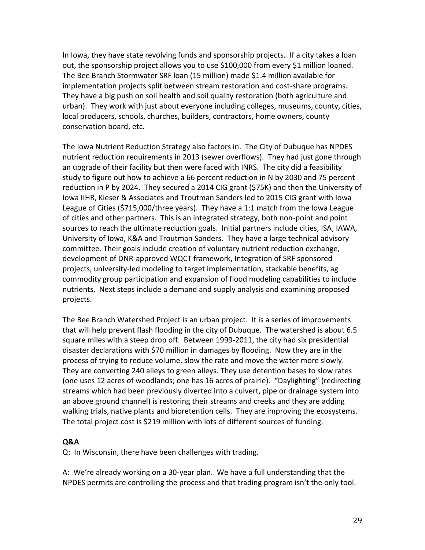In Iowa, they have state revolving funds and sponsorship projects. If a city takes a loan out, the sponsorship project allows you to use \$100,000 from every \$1 million loaned. The Bee Branch Stormwater SRF loan (15 million) made \$1.4 million available for implementation projects split between stream restoration and cost-share programs. They have a big push on soil health and soil quality restoration (both agriculture and urban). They work with just about everyone including colleges, museums, county, cities, local producers, schools, churches, builders, contractors, home owners, county conservation board, etc.

The Iowa Nutrient Reduction Strategy also factors in. The City of Dubuque has NPDES nutrient reduction requirements in 2013 (sewer overflows). They had just gone through an upgrade of their facility but then were faced with INRS. The city did a feasibility study to figure out how to achieve a 66 percent reduction in N by 2030 and 75 percent reduction in P by 2024. They secured a 2014 CIG grant (\$75K) and then the University of Iowa IIHR, Kieser & Associates and Troutman Sanders led to 2015 CIG grant with Iowa League of Cities (\$715,000/three years). They have a 1:1 match from the Iowa League of cities and other partners. This is an integrated strategy, both non-point and point sources to reach the ultimate reduction goals. Initial partners include cities, ISA, IAWA, University of Iowa, K&A and Troutman Sanders. They have a large technical advisory committee. Their goals include creation of voluntary nutrient reduction exchange, development of DNR-approved WQCT framework, Integration of SRF sponsored projects, university-led modeling to target implementation, stackable benefits, ag commodity group participation and expansion of flood modeling capabilities to include nutrients. Next steps include a demand and supply analysis and examining proposed projects.

The Bee Branch Watershed Project is an urban project. It is a series of improvements that will help prevent flash flooding in the city of Dubuque. The watershed is about 6.5 square miles with a steep drop off. Between 1999-2011, the city had six presidential disaster declarations with \$70 million in damages by flooding. Now they are in the process of trying to reduce volume, slow the rate and move the water more slowly. They are converting 240 alleys to green alleys. They use detention bases to slow rates (one uses 12 acres of woodlands; one has 16 acres of prairie). "Daylighting" (redirecting streams which had been previously diverted into a culvert, pipe or drainage system into an above ground channel) is restoring their streams and creeks and they are adding walking trials, native plants and bioretention cells. They are improving the ecosystems. The total project cost is \$219 million with lots of different sources of funding.

#### **Q&A**

Q: In Wisconsin, there have been challenges with trading.

A: We're already working on a 30-year plan. We have a full understanding that the NPDES permits are controlling the process and that trading program isn't the only tool.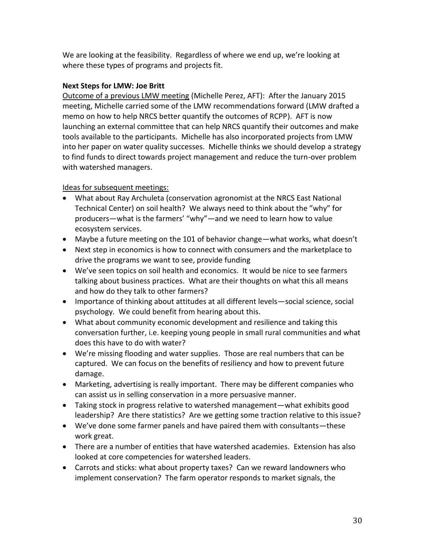We are looking at the feasibility. Regardless of where we end up, we're looking at where these types of programs and projects fit.

# **Next Steps for LMW: Joe Britt**

Outcome of a previous LMW meeting (Michelle Perez, AFT): After the January 2015 meeting, Michelle carried some of the LMW recommendations forward (LMW drafted a memo on how to help NRCS better quantify the outcomes of RCPP). AFT is now launching an external committee that can help NRCS quantify their outcomes and make tools available to the participants. Michelle has also incorporated projects from LMW into her paper on water quality successes. Michelle thinks we should develop a strategy to find funds to direct towards project management and reduce the turn-over problem with watershed managers.

## Ideas for subsequent meetings:

- What about Ray Archuleta (conservation agronomist at the NRCS East National Technical Center) on soil health? We always need to think about the "why" for producers—what is the farmers' "why"—and we need to learn how to value ecosystem services.
- Maybe a future meeting on the 101 of behavior change—what works, what doesn't
- Next step in economics is how to connect with consumers and the marketplace to drive the programs we want to see, provide funding
- We've seen topics on soil health and economics. It would be nice to see farmers talking about business practices. What are their thoughts on what this all means and how do they talk to other farmers?
- Importance of thinking about attitudes at all different levels—social science, social psychology. We could benefit from hearing about this.
- What about community economic development and resilience and taking this conversation further, i.e. keeping young people in small rural communities and what does this have to do with water?
- We're missing flooding and water supplies. Those are real numbers that can be captured. We can focus on the benefits of resiliency and how to prevent future damage.
- Marketing, advertising is really important. There may be different companies who can assist us in selling conservation in a more persuasive manner.
- Taking stock in progress relative to watershed management—what exhibits good leadership? Are there statistics? Are we getting some traction relative to this issue?
- We've done some farmer panels and have paired them with consultants—these work great.
- There are a number of entities that have watershed academies. Extension has also looked at core competencies for watershed leaders.
- Carrots and sticks: what about property taxes? Can we reward landowners who implement conservation? The farm operator responds to market signals, the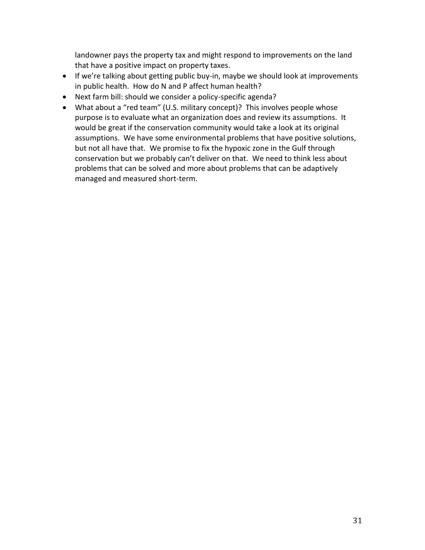landowner pays the property tax and might respond to improvements on the land that have a positive impact on property taxes.

- If we're talking about getting public buy-in, maybe we should look at improvements in public health. How do N and P affect human health?
- Next farm bill: should we consider a policy-specific agenda?
- What about a "red team" (U.S. military concept)? This involves people whose purpose is to evaluate what an organization does and review its assumptions. It would be great if the conservation community would take a look at its original assumptions. We have some environmental problems that have positive solutions, but not all have that. We promise to fix the hypoxic zone in the Gulf through conservation but we probably can't deliver on that. We need to think less about problems that can be solved and more about problems that can be adaptively managed and measured short-term.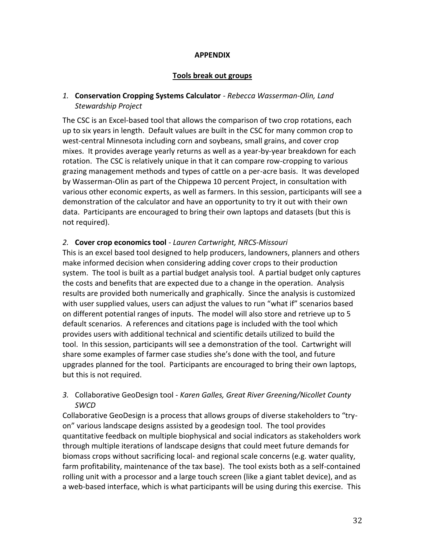#### **APPENDIX**

#### **Tools break out groups**

## *1.* **Conservation Cropping Systems Calculator** - *Rebecca Wasserman-Olin, Land Stewardship Project*

The CSC is an Excel-based tool that allows the comparison of two crop rotations, each up to six years in length. Default values are built in the CSC for many common crop to west-central Minnesota including corn and soybeans, small grains, and cover crop mixes. It provides average yearly returns as well as a year-by-year breakdown for each rotation. The CSC is relatively unique in that it can compare row-cropping to various grazing management methods and types of cattle on a per-acre basis. It was developed by Wasserman-Olin as part of the Chippewa 10 percent Project, in consultation with various other economic experts, as well as farmers. In this session, participants will see a demonstration of the calculator and have an opportunity to try it out with their own data. Participants are encouraged to bring their own laptops and datasets (but this is not required).

#### *2.* **Cover crop economics tool** - *Lauren Cartwright, NRCS-Missouri*

This is an excel based tool designed to help producers, landowners, planners and others make informed decision when considering adding cover crops to their production system. The tool is built as a partial budget analysis tool. A partial budget only captures the costs and benefits that are expected due to a change in the operation. Analysis results are provided both numerically and graphically. Since the analysis is customized with user supplied values, users can adjust the values to run "what if" scenarios based on different potential ranges of inputs. The model will also store and retrieve up to 5 default scenarios. A references and citations page is included with the tool which provides users with additional technical and scientific details utilized to build the tool. In this session, participants will see a demonstration of the tool. Cartwright will share some examples of farmer case studies she's done with the tool, and future upgrades planned for the tool. Participants are encouraged to bring their own laptops, but this is not required.

## *3.* Collaborative GeoDesign tool - *Karen Galles, Great River Greening/Nicollet County SWCD*

Collaborative GeoDesign is a process that allows groups of diverse stakeholders to "tryon" various landscape designs assisted by a geodesign tool. The tool provides quantitative feedback on multiple biophysical and social indicators as stakeholders work through multiple iterations of landscape designs that could meet future demands for biomass crops without sacrificing local- and regional scale concerns (e.g. water quality, farm profitability, maintenance of the tax base). The tool exists both as a self-contained rolling unit with a processor and a large touch screen (like a giant tablet device), and as a web-based interface, which is what participants will be using during this exercise. This